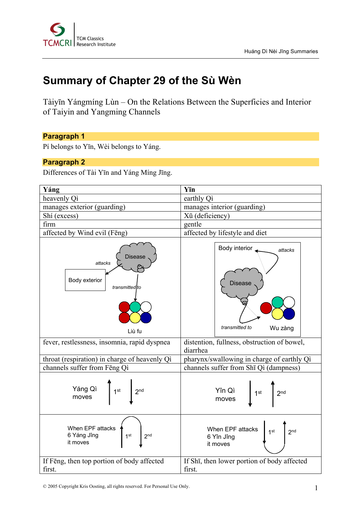

# **Summary of Chapter 29 of the Sù Wèn**

Tàiyīn Yángmíng Lùn – On the Relations Between the Superficies and Interior of Taiyin and Yangming Channels

# **Paragraph 1**

Pí belongs to Yīn, Wèi belongs to Yáng.

#### **Paragraph 2**

Differences of Tài Yīn and Yáng Míng Jīng.

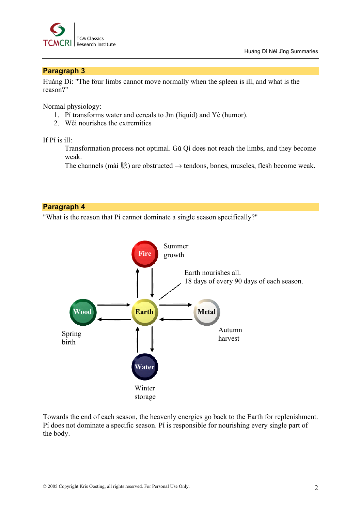

# **Paragraph 3**

Huáng Dì: "The four limbs cannot move normally when the spleen is ill, and what is the reason?"

Normal physiology:

- 1. Pí transforms water and cereals to Jīn (liquid) and Yè (humor).
- 2. Wèi nourishes the extremities

#### If Pí is ill:

Transformation process not optimal. Gŭ Qì does not reach the limbs, and they become weak.

The channels (mài 脉) are obstructed  $\rightarrow$  tendons, bones, muscles, flesh become weak.

# **Paragraph 4**

"What is the reason that Pí cannot dominate a single season specifically?"



Towards the end of each season, the heavenly energies go back to the Earth for replenishment. Pí does not dominate a specific season. Pí is responsible for nourishing every single part of the body.